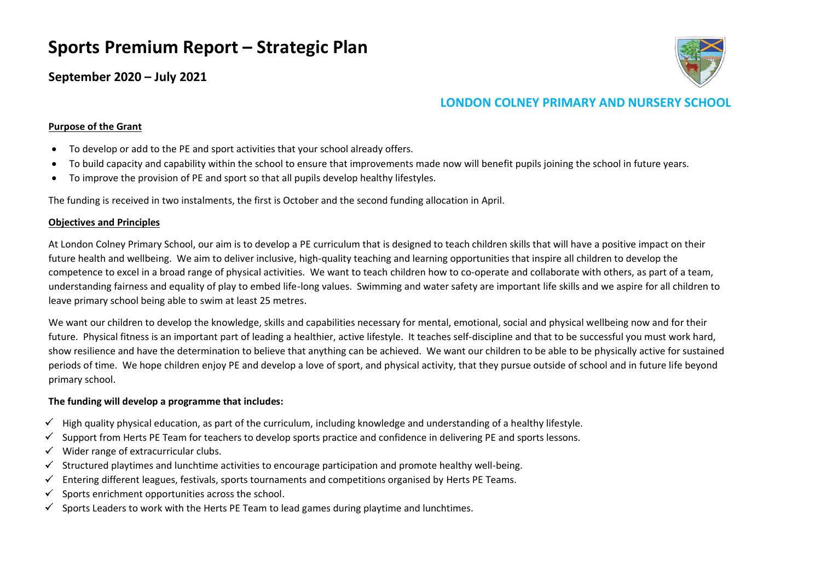# **Sports Premium Report – Strategic Plan**

**September 2020 – July 2021**



## **LONDON COLNEY PRIMARY AND NURSERY SCHOOL**

#### **Purpose of the Grant**

- To develop or add to the PE and sport activities that your school already offers.
- To build capacity and capability within the school to ensure that improvements made now will benefit pupils joining the school in future years.
- To improve the provision of PE and sport so that all pupils develop healthy lifestyles.

The funding is received in two instalments, the first is October and the second funding allocation in April.

#### **Objectives and Principles**

At London Colney Primary School, our aim is to develop a PE curriculum that is designed to teach children skills that will have a positive impact on their future health and wellbeing. We aim to deliver inclusive, high-quality teaching and learning opportunities that inspire all children to develop the competence to excel in a broad range of physical activities. We want to teach children how to co-operate and collaborate with others, as part of a team, understanding fairness and equality of play to embed life-long values. Swimming and water safety are important life skills and we aspire for all children to leave primary school being able to swim at least 25 metres.

We want our children to develop the knowledge, skills and capabilities necessary for mental, emotional, social and physical wellbeing now and for their future. Physical fitness is an important part of leading a healthier, active lifestyle. It teaches self-discipline and that to be successful you must work hard, show resilience and have the determination to believe that anything can be achieved. We want our children to be able to be physically active for sustained periods of time. We hope children enjoy PE and develop a love of sport, and physical activity, that they pursue outside of school and in future life beyond primary school.

### **The funding will develop a programme that includes:**

- $\checkmark$  High quality physical education, as part of the curriculum, including knowledge and understanding of a healthy lifestyle.
- Support from Herts PE Team for teachers to develop sports practice and confidence in delivering PE and sports lessons. ✓
- Wider range of extracurricular clubs.  $\checkmark$
- $\checkmark$ Structured playtimes and lunchtime activities to encourage participation and promote healthy well-being.
- Entering different leagues, festivals, sports tournaments and competitions organised by Herts PE Teams.  $\checkmark$
- Sports enrichment opportunities across the school. ✓
- Sports Leaders to work with the Herts PE Team to lead games during playtime and lunchtimes.✓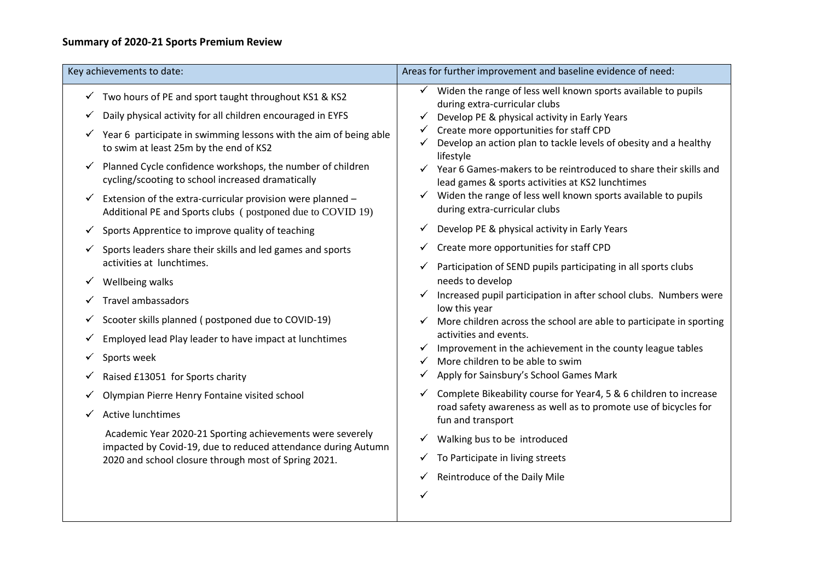## **Summary of 2020-21 Sports Premium Review**

| Key achievements to date:                                                                                                     | Areas for further improvement and baseline evidence of need:                                                                             |
|-------------------------------------------------------------------------------------------------------------------------------|------------------------------------------------------------------------------------------------------------------------------------------|
| $\checkmark$ Two hours of PE and sport taught throughout KS1 & KS2                                                            | Widen the range of less well known sports available to pupils<br>Y.<br>during extra-curricular clubs                                     |
| Daily physical activity for all children encouraged in EYFS<br>✓                                                              | Develop PE & physical activity in Early Years                                                                                            |
| Year 6 participate in swimming lessons with the aim of being able<br>to swim at least 25m by the end of KS2                   | Create more opportunities for staff CPD<br>$\checkmark$<br>Develop an action plan to tackle levels of obesity and a healthy<br>lifestyle |
| Planned Cycle confidence workshops, the number of children<br>✓<br>cycling/scooting to school increased dramatically          | Year 6 Games-makers to be reintroduced to share their skills and<br>lead games & sports activities at KS2 lunchtimes                     |
| Extension of the extra-curricular provision were planned -<br>✓<br>Additional PE and Sports clubs (postponed due to COVID 19) | $\checkmark$ Widen the range of less well known sports available to pupils<br>during extra-curricular clubs                              |
| Sports Apprentice to improve quality of teaching<br>✓                                                                         | Develop PE & physical activity in Early Years<br>Y                                                                                       |
| Sports leaders share their skills and led games and sports                                                                    | Create more opportunities for staff CPD<br>✓                                                                                             |
| activities at lunchtimes.                                                                                                     | Participation of SEND pupils participating in all sports clubs<br>✓                                                                      |
| Wellbeing walks<br>Y.                                                                                                         | needs to develop                                                                                                                         |
| <b>Travel ambassadors</b>                                                                                                     | Increased pupil participation in after school clubs. Numbers were<br>low this year                                                       |
| Scooter skills planned (postponed due to COVID-19)<br>Y.                                                                      | More children across the school are able to participate in sporting                                                                      |
| Employed lead Play leader to have impact at lunchtimes                                                                        | activities and events.                                                                                                                   |
| Sports week                                                                                                                   | Improvement in the achievement in the county league tables<br>✓<br>More children to be able to swim                                      |
| Raised £13051 for Sports charity<br>Y.                                                                                        | Apply for Sainsbury's School Games Mark                                                                                                  |
| Olympian Pierre Henry Fontaine visited school                                                                                 | Complete Bikeability course for Year4, 5 & 6 children to increase<br>✓                                                                   |
| <b>Active lunchtimes</b>                                                                                                      | road safety awareness as well as to promote use of bicycles for<br>fun and transport                                                     |
| Academic Year 2020-21 Sporting achievements were severely<br>impacted by Covid-19, due to reduced attendance during Autumn    | Walking bus to be introduced                                                                                                             |
| 2020 and school closure through most of Spring 2021.                                                                          | To Participate in living streets<br>Y.                                                                                                   |
|                                                                                                                               | Reintroduce of the Daily Mile<br>$\checkmark$                                                                                            |
|                                                                                                                               | $\checkmark$                                                                                                                             |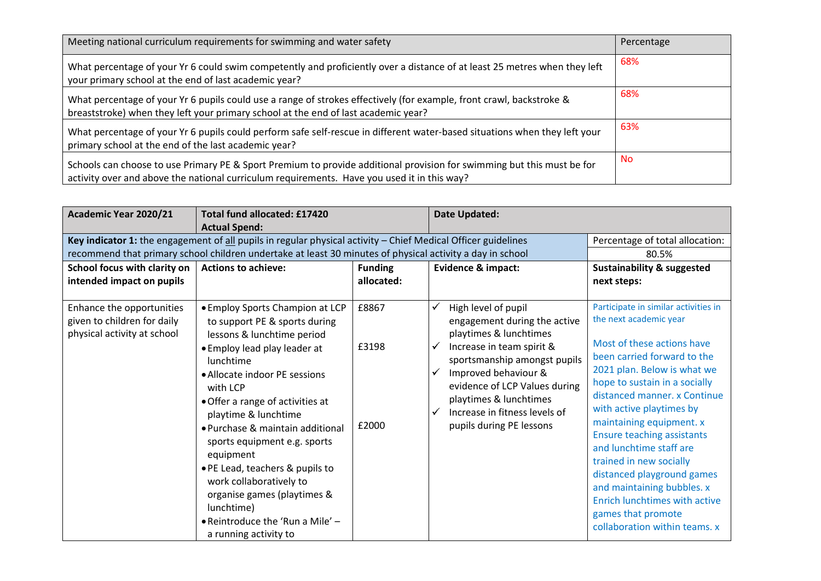| Meeting national curriculum requirements for swimming and water safety                                                                                                                                                | Percentage |
|-----------------------------------------------------------------------------------------------------------------------------------------------------------------------------------------------------------------------|------------|
| What percentage of your Yr 6 could swim competently and proficiently over a distance of at least 25 metres when they left<br>your primary school at the end of last academic year?                                    | 68%        |
| What percentage of your Yr 6 pupils could use a range of strokes effectively (for example, front crawl, backstroke &<br>breaststroke) when they left your primary school at the end of last academic year?            | 68%        |
| What percentage of your Yr 6 pupils could perform safe self-rescue in different water-based situations when they left your<br>primary school at the end of the last academic year?                                    | 63%        |
| Schools can choose to use Primary PE & Sport Premium to provide additional provision for swimming but this must be for<br>activity over and above the national curriculum requirements. Have you used it in this way? | No.        |

| Academic Year 2020/21                                                                   | <b>Total fund allocated: £17420</b>                                                                                                                                                                                                                                                                                                                                                                                                                                                                                     |                              | <b>Date Updated:</b>                                                                                                                                                                                                                                                                                                 |                                                                                                                                                                                                                                                                                                                                                                                                                                                                                                                                    |
|-----------------------------------------------------------------------------------------|-------------------------------------------------------------------------------------------------------------------------------------------------------------------------------------------------------------------------------------------------------------------------------------------------------------------------------------------------------------------------------------------------------------------------------------------------------------------------------------------------------------------------|------------------------------|----------------------------------------------------------------------------------------------------------------------------------------------------------------------------------------------------------------------------------------------------------------------------------------------------------------------|------------------------------------------------------------------------------------------------------------------------------------------------------------------------------------------------------------------------------------------------------------------------------------------------------------------------------------------------------------------------------------------------------------------------------------------------------------------------------------------------------------------------------------|
|                                                                                         | <b>Actual Spend:</b>                                                                                                                                                                                                                                                                                                                                                                                                                                                                                                    |                              |                                                                                                                                                                                                                                                                                                                      |                                                                                                                                                                                                                                                                                                                                                                                                                                                                                                                                    |
|                                                                                         | Key indicator 1: the engagement of all pupils in regular physical activity - Chief Medical Officer guidelines                                                                                                                                                                                                                                                                                                                                                                                                           |                              |                                                                                                                                                                                                                                                                                                                      | Percentage of total allocation:                                                                                                                                                                                                                                                                                                                                                                                                                                                                                                    |
|                                                                                         | recommend that primary school children undertake at least 30 minutes of physical activity a day in school                                                                                                                                                                                                                                                                                                                                                                                                               |                              |                                                                                                                                                                                                                                                                                                                      | 80.5%                                                                                                                                                                                                                                                                                                                                                                                                                                                                                                                              |
| School focus with clarity on<br>intended impact on pupils                               | <b>Actions to achieve:</b>                                                                                                                                                                                                                                                                                                                                                                                                                                                                                              | <b>Funding</b><br>allocated: | Evidence & impact:                                                                                                                                                                                                                                                                                                   | <b>Sustainability &amp; suggested</b><br>next steps:                                                                                                                                                                                                                                                                                                                                                                                                                                                                               |
| Enhance the opportunities<br>given to children for daily<br>physical activity at school | • Employ Sports Champion at LCP<br>to support PE & sports during<br>lessons & lunchtime period<br>• Employ lead play leader at<br>lunchtime<br>• Allocate indoor PE sessions<br>with LCP<br>• Offer a range of activities at<br>playtime & lunchtime<br>• Purchase & maintain additional<br>sports equipment e.g. sports<br>equipment<br>• PE Lead, teachers & pupils to<br>work collaboratively to<br>organise games (playtimes &<br>lunchtime)<br>$\bullet$ Reintroduce the 'Run a Mile' $-$<br>a running activity to | £8867<br>£3198<br>£2000      | High level of pupil<br>engagement during the active<br>playtimes & lunchtimes<br>Increase in team spirit &<br>✓<br>sportsmanship amongst pupils<br>Improved behaviour &<br>✓<br>evidence of LCP Values during<br>playtimes & lunchtimes<br>Increase in fitness levels of<br>$\checkmark$<br>pupils during PE lessons | Participate in similar activities in<br>the next academic year<br>Most of these actions have<br>been carried forward to the<br>2021 plan. Below is what we<br>hope to sustain in a socially<br>distanced manner, x Continue<br>with active playtimes by<br>maintaining equipment. x<br><b>Ensure teaching assistants</b><br>and lunchtime staff are<br>trained in new socially<br>distanced playground games<br>and maintaining bubbles. x<br>Enrich lunchtimes with active<br>games that promote<br>collaboration within teams. x |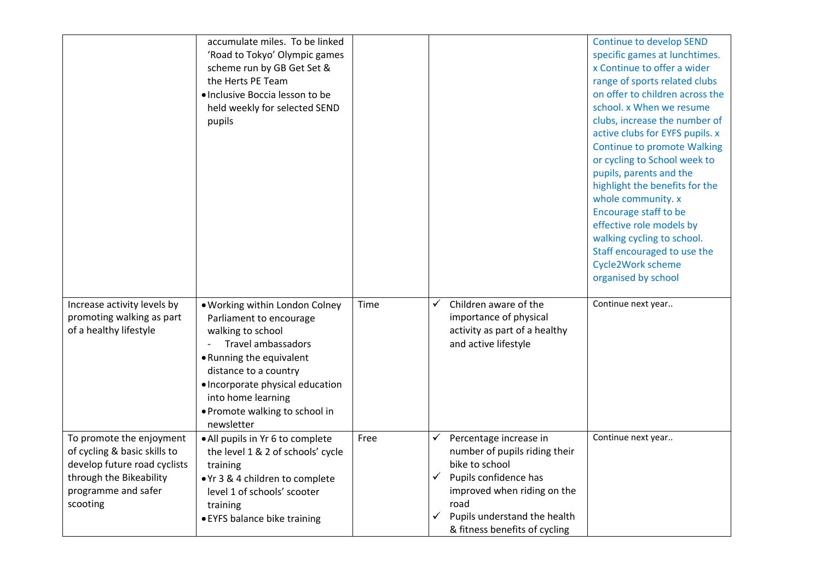|                                                                                                                                                        | accumulate miles. To be linked<br>'Road to Tokyo' Olympic games<br>scheme run by GB Get Set &<br>the Herts PE Team<br>· Inclusive Boccia lesson to be<br>held weekly for selected SEND<br>pupils                                                                           |      |                                                                                                                                                                                                                           | <b>Continue to develop SEND</b><br>specific games at lunchtimes.<br>x Continue to offer a wider<br>range of sports related clubs<br>on offer to children across the<br>school. x When we resume<br>clubs, increase the number of<br>active clubs for EYFS pupils. x<br><b>Continue to promote Walking</b><br>or cycling to School week to<br>pupils, parents and the<br>highlight the benefits for the<br>whole community. x<br>Encourage staff to be<br>effective role models by<br>walking cycling to school.<br>Staff encouraged to use the<br>Cycle2Work scheme<br>organised by school |
|--------------------------------------------------------------------------------------------------------------------------------------------------------|----------------------------------------------------------------------------------------------------------------------------------------------------------------------------------------------------------------------------------------------------------------------------|------|---------------------------------------------------------------------------------------------------------------------------------------------------------------------------------------------------------------------------|--------------------------------------------------------------------------------------------------------------------------------------------------------------------------------------------------------------------------------------------------------------------------------------------------------------------------------------------------------------------------------------------------------------------------------------------------------------------------------------------------------------------------------------------------------------------------------------------|
| Increase activity levels by<br>promoting walking as part<br>of a healthy lifestyle                                                                     | . Working within London Colney<br>Parliament to encourage<br>walking to school<br><b>Travel ambassadors</b><br>• Running the equivalent<br>distance to a country<br>· Incorporate physical education<br>into home learning<br>• Promote walking to school in<br>newsletter | Time | Children aware of the<br>√<br>importance of physical<br>activity as part of a healthy<br>and active lifestyle                                                                                                             | Continue next year                                                                                                                                                                                                                                                                                                                                                                                                                                                                                                                                                                         |
| To promote the enjoyment<br>of cycling & basic skills to<br>develop future road cyclists<br>through the Bikeability<br>programme and safer<br>scooting | • All pupils in Yr 6 to complete<br>the level 1 & 2 of schools' cycle<br>training<br>● Yr 3 & 4 children to complete<br>level 1 of schools' scooter<br>training<br>• EYFS balance bike training                                                                            | Free | Percentage increase in<br>✔<br>number of pupils riding their<br>bike to school<br>✓<br>Pupils confidence has<br>improved when riding on the<br>road<br>Pupils understand the health<br>✓<br>& fitness benefits of cycling | Continue next year                                                                                                                                                                                                                                                                                                                                                                                                                                                                                                                                                                         |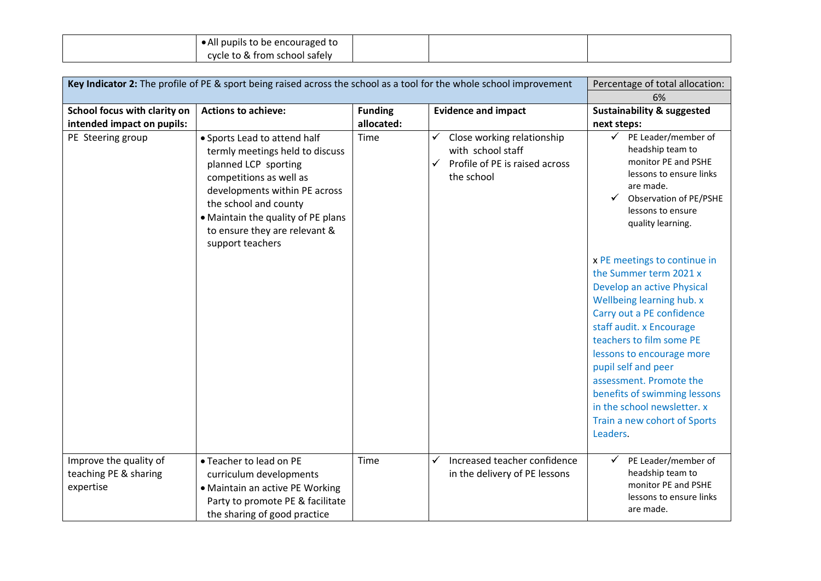| • All pupils to be encouraged to |  |  |
|----------------------------------|--|--|
| cycle to & from school safely    |  |  |

| Key Indicator 2: The profile of PE & sport being raised across the school as a tool for the whole school improvement |                                                                                                                                                                                                                                                                         |                |                                                                                                                      | Percentage of total allocation:                                                                                                                                                                                                                                                                                                                                                                                                                                                                                                                                                     |  |
|----------------------------------------------------------------------------------------------------------------------|-------------------------------------------------------------------------------------------------------------------------------------------------------------------------------------------------------------------------------------------------------------------------|----------------|----------------------------------------------------------------------------------------------------------------------|-------------------------------------------------------------------------------------------------------------------------------------------------------------------------------------------------------------------------------------------------------------------------------------------------------------------------------------------------------------------------------------------------------------------------------------------------------------------------------------------------------------------------------------------------------------------------------------|--|
|                                                                                                                      |                                                                                                                                                                                                                                                                         |                |                                                                                                                      | 6%                                                                                                                                                                                                                                                                                                                                                                                                                                                                                                                                                                                  |  |
| School focus with clarity on                                                                                         | <b>Actions to achieve:</b>                                                                                                                                                                                                                                              | <b>Funding</b> | <b>Evidence and impact</b>                                                                                           | <b>Sustainability &amp; suggested</b>                                                                                                                                                                                                                                                                                                                                                                                                                                                                                                                                               |  |
| intended impact on pupils:                                                                                           |                                                                                                                                                                                                                                                                         | allocated:     |                                                                                                                      | next steps:                                                                                                                                                                                                                                                                                                                                                                                                                                                                                                                                                                         |  |
| PE Steering group                                                                                                    | • Sports Lead to attend half<br>termly meetings held to discuss<br>planned LCP sporting<br>competitions as well as<br>developments within PE across<br>the school and county<br>• Maintain the quality of PE plans<br>to ensure they are relevant &<br>support teachers | Time           | ✓<br>Close working relationship<br>with school staff<br>$\checkmark$<br>Profile of PE is raised across<br>the school | ✓<br>PE Leader/member of<br>headship team to<br>monitor PE and PSHE<br>lessons to ensure links<br>are made.<br>Observation of PE/PSHE<br>lessons to ensure<br>quality learning.<br>x PE meetings to continue in<br>the Summer term 2021 x<br>Develop an active Physical<br>Wellbeing learning hub. x<br>Carry out a PE confidence<br>staff audit. x Encourage<br>teachers to film some PE<br>lessons to encourage more<br>pupil self and peer<br>assessment. Promote the<br>benefits of swimming lessons<br>in the school newsletter. x<br>Train a new cohort of Sports<br>Leaders. |  |
| Improve the quality of<br>teaching PE & sharing<br>expertise                                                         | • Teacher to lead on PE<br>curriculum developments<br>• Maintain an active PE Working<br>Party to promote PE & facilitate<br>the sharing of good practice                                                                                                               | Time           | ✓<br>Increased teacher confidence<br>in the delivery of PE lessons                                                   | PE Leader/member of<br>✓<br>headship team to<br>monitor PE and PSHE<br>lessons to ensure links<br>are made.                                                                                                                                                                                                                                                                                                                                                                                                                                                                         |  |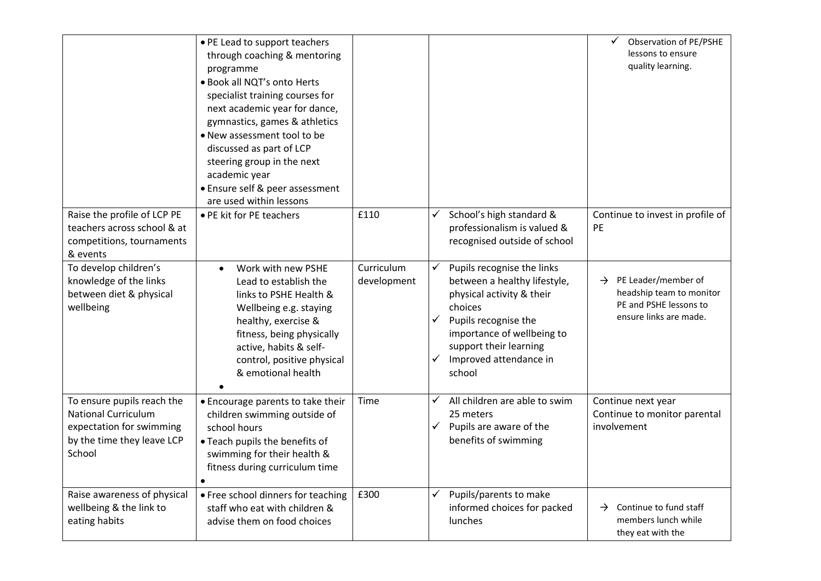|                                                                                                                              | • PE Lead to support teachers<br>through coaching & mentoring<br>programme<br>· Book all NQT's onto Herts<br>specialist training courses for<br>next academic year for dance,<br>gymnastics, games & athletics<br>. New assessment tool to be<br>discussed as part of LCP<br>steering group in the next<br>academic year<br>• Ensure self & peer assessment<br>are used within lessons |                           |                                                                                                                                                                                                                                       | Observation of PE/PSHE<br>lessons to ensure<br>quality learning.                                                  |
|------------------------------------------------------------------------------------------------------------------------------|----------------------------------------------------------------------------------------------------------------------------------------------------------------------------------------------------------------------------------------------------------------------------------------------------------------------------------------------------------------------------------------|---------------------------|---------------------------------------------------------------------------------------------------------------------------------------------------------------------------------------------------------------------------------------|-------------------------------------------------------------------------------------------------------------------|
| Raise the profile of LCP PE<br>teachers across school & at<br>competitions, tournaments<br>& events                          | • PE kit for PE teachers                                                                                                                                                                                                                                                                                                                                                               | £110                      | School's high standard &<br>✓<br>professionalism is valued &<br>recognised outside of school                                                                                                                                          | Continue to invest in profile of<br>PE                                                                            |
| To develop children's<br>knowledge of the links<br>between diet & physical<br>wellbeing                                      | Work with new PSHE<br>$\bullet$<br>Lead to establish the<br>links to PSHE Health &<br>Wellbeing e.g. staying<br>healthy, exercise &<br>fitness, being physically<br>active, habits & self-<br>control, positive physical<br>& emotional health                                                                                                                                         | Curriculum<br>development | Pupils recognise the links<br>✓<br>between a healthy lifestyle,<br>physical activity & their<br>choices<br>Pupils recognise the<br>✓<br>importance of wellbeing to<br>support their learning<br>Improved attendance in<br>✓<br>school | $\rightarrow$ PE Leader/member of<br>headship team to monitor<br>PE and PSHE lessons to<br>ensure links are made. |
| To ensure pupils reach the<br><b>National Curriculum</b><br>expectation for swimming<br>by the time they leave LCP<br>School | • Encourage parents to take their<br>children swimming outside of<br>school hours<br>• Teach pupils the benefits of<br>swimming for their health &<br>fitness during curriculum time                                                                                                                                                                                                   | Time                      | All children are able to swim<br>v<br>25 meters<br>$\checkmark$<br>Pupils are aware of the<br>benefits of swimming                                                                                                                    | Continue next year<br>Continue to monitor parental<br>involvement                                                 |
| Raise awareness of physical<br>wellbeing & the link to<br>eating habits                                                      | • Free school dinners for teaching<br>staff who eat with children &<br>advise them on food choices                                                                                                                                                                                                                                                                                     | £300                      | Pupils/parents to make<br>٧<br>informed choices for packed<br>lunches                                                                                                                                                                 | Continue to fund staff<br>$\rightarrow$<br>members lunch while<br>they eat with the                               |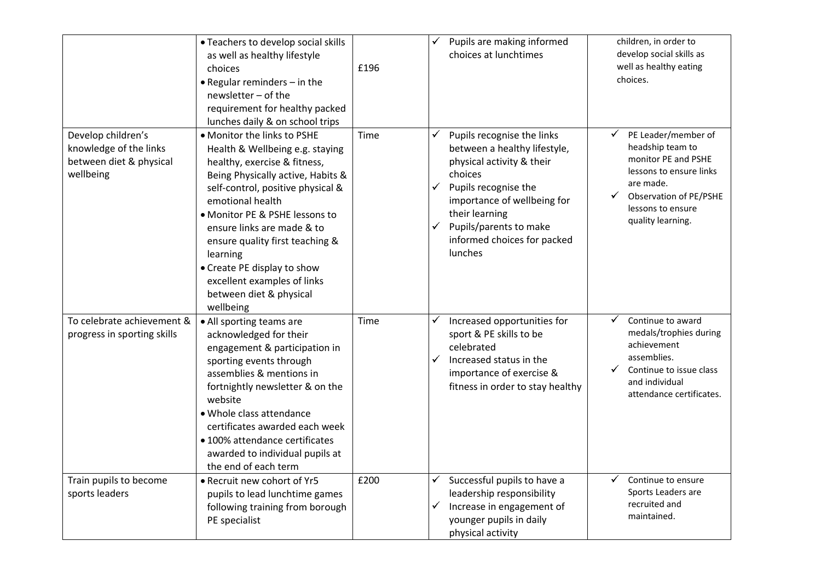|                                                                                      | • Teachers to develop social skills<br>as well as healthy lifestyle<br>choices<br>$\bullet$ Regular reminders $-$ in the<br>newsletter - of the<br>requirement for healthy packed<br>lunches daily & on school trips                                                                                                                                                                                              | £196 | Pupils are making informed<br>choices at lunchtimes                                                                                                                                                                                                            | children, in order to<br>develop social skills as<br>well as healthy eating<br>choices.                                                                                    |
|--------------------------------------------------------------------------------------|-------------------------------------------------------------------------------------------------------------------------------------------------------------------------------------------------------------------------------------------------------------------------------------------------------------------------------------------------------------------------------------------------------------------|------|----------------------------------------------------------------------------------------------------------------------------------------------------------------------------------------------------------------------------------------------------------------|----------------------------------------------------------------------------------------------------------------------------------------------------------------------------|
| Develop children's<br>knowledge of the links<br>between diet & physical<br>wellbeing | • Monitor the links to PSHE<br>Health & Wellbeing e.g. staying<br>healthy, exercise & fitness,<br>Being Physically active, Habits &<br>self-control, positive physical &<br>emotional health<br>• Monitor PE & PSHE lessons to<br>ensure links are made & to<br>ensure quality first teaching &<br>learning<br>• Create PE display to show<br>excellent examples of links<br>between diet & physical<br>wellbeing | Time | Pupils recognise the links<br>✓<br>between a healthy lifestyle,<br>physical activity & their<br>choices<br>Pupils recognise the<br>✓<br>importance of wellbeing for<br>their learning<br>Pupils/parents to make<br>✓<br>informed choices for packed<br>lunches | PE Leader/member of<br>headship team to<br>monitor PE and PSHE<br>lessons to ensure links<br>are made.<br>Observation of PE/PSHE<br>lessons to ensure<br>quality learning. |
| To celebrate achievement &<br>progress in sporting skills                            | • All sporting teams are<br>acknowledged for their<br>engagement & participation in<br>sporting events through<br>assemblies & mentions in<br>fortnightly newsletter & on the<br>website<br>• Whole class attendance<br>certificates awarded each week<br>• 100% attendance certificates<br>awarded to individual pupils at<br>the end of each term                                                               | Time | Increased opportunities for<br>✓<br>sport & PE skills to be<br>celebrated<br>Increased status in the<br>✓<br>importance of exercise &<br>fitness in order to stay healthy                                                                                      | Continue to award<br>medals/trophies during<br>achievement<br>assemblies.<br>Continue to issue class<br>and individual<br>attendance certificates.                         |
| Train pupils to become<br>sports leaders                                             | • Recruit new cohort of Yr5<br>pupils to lead lunchtime games<br>following training from borough<br>PE specialist                                                                                                                                                                                                                                                                                                 | £200 | Successful pupils to have a<br>✓<br>✔<br>leadership responsibility<br>Increase in engagement of<br>✓<br>younger pupils in daily<br>physical activity                                                                                                           | Continue to ensure<br>Sports Leaders are<br>recruited and<br>maintained.                                                                                                   |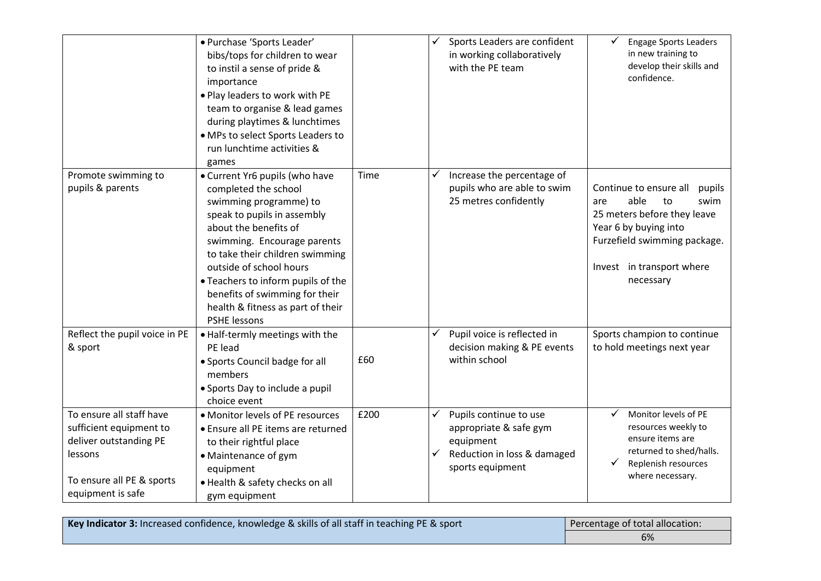|                                                                                                                                            | · Purchase 'Sports Leader'<br>bibs/tops for children to wear<br>to instil a sense of pride &<br>importance<br>. Play leaders to work with PE<br>team to organise & lead games<br>during playtimes & lunchtimes<br>• MPs to select Sports Leaders to<br>run lunchtime activities &<br>games                                                                                |      |   | Sports Leaders are confident<br>in working collaboratively<br>with the PE team                                   | <b>Engage Sports Leaders</b><br>in new training to<br>develop their skills and<br>confidence.                                                                                                   |
|--------------------------------------------------------------------------------------------------------------------------------------------|---------------------------------------------------------------------------------------------------------------------------------------------------------------------------------------------------------------------------------------------------------------------------------------------------------------------------------------------------------------------------|------|---|------------------------------------------------------------------------------------------------------------------|-------------------------------------------------------------------------------------------------------------------------------------------------------------------------------------------------|
| Promote swimming to<br>pupils & parents                                                                                                    | • Current Yr6 pupils (who have<br>completed the school<br>swimming programme) to<br>speak to pupils in assembly<br>about the benefits of<br>swimming. Encourage parents<br>to take their children swimming<br>outside of school hours<br>• Teachers to inform pupils of the<br>benefits of swimming for their<br>health & fitness as part of their<br><b>PSHE lessons</b> | Time | ✔ | Increase the percentage of<br>pupils who are able to swim<br>25 metres confidently                               | Continue to ensure all<br>pupils<br>able<br>to<br>swim<br>are<br>25 meters before they leave<br>Year 6 by buying into<br>Furzefield swimming package.<br>Invest in transport where<br>necessary |
| Reflect the pupil voice in PE<br>& sport                                                                                                   | • Half-termly meetings with the<br>PE lead<br>• Sports Council badge for all<br>members<br>• Sports Day to include a pupil<br>choice event                                                                                                                                                                                                                                | £60  | ✓ | Pupil voice is reflected in<br>decision making & PE events<br>within school                                      | Sports champion to continue<br>to hold meetings next year                                                                                                                                       |
| To ensure all staff have<br>sufficient equipment to<br>deliver outstanding PE<br>lessons<br>To ensure all PE & sports<br>equipment is safe | • Monitor levels of PE resources<br>• Ensure all PE items are returned<br>to their rightful place<br>• Maintenance of gym<br>equipment<br>· Health & safety checks on all<br>gym equipment                                                                                                                                                                                | £200 | ✓ | Pupils continue to use<br>appropriate & safe gym<br>equipment<br>Reduction in loss & damaged<br>sports equipment | Monitor levels of PE<br>✓<br>resources weekly to<br>ensure items are<br>returned to shed/halls.<br>Replenish resources<br>where necessary.                                                      |

| Key Indicator 3: Increased confidence, knowledge & skills of all staff in teaching PE & sport | Percentage of total allocation: |  |
|-----------------------------------------------------------------------------------------------|---------------------------------|--|
|                                                                                               | 6%                              |  |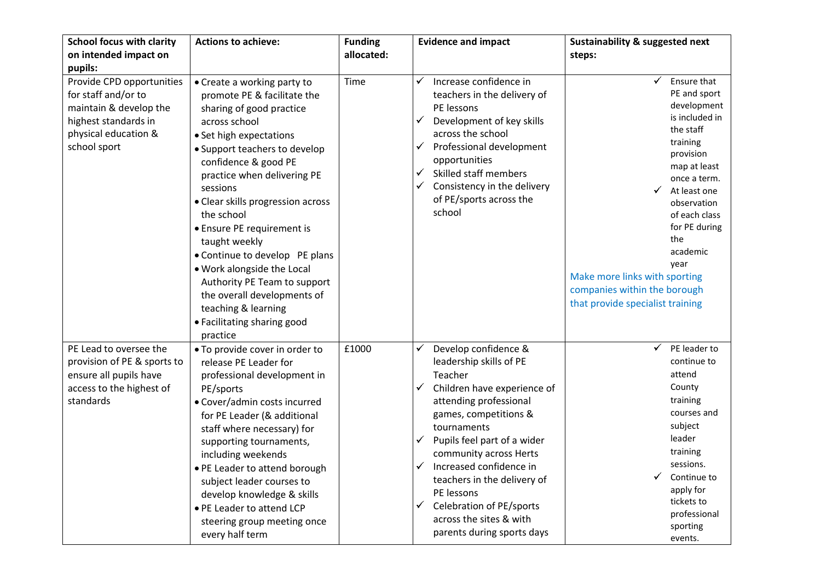| <b>School focus with clarity</b><br>on intended impact on                                                                                             | <b>Actions to achieve:</b>                                                                                                                                                                                                                                                                                                                                                                                                                                                                                                                | <b>Funding</b><br>allocated: | <b>Evidence and impact</b>                                                                                                                                                                                                                                                                                                                                                                       | <b>Sustainability &amp; suggested next</b><br>steps:                                                                                                                                                                                                                                                                                |
|-------------------------------------------------------------------------------------------------------------------------------------------------------|-------------------------------------------------------------------------------------------------------------------------------------------------------------------------------------------------------------------------------------------------------------------------------------------------------------------------------------------------------------------------------------------------------------------------------------------------------------------------------------------------------------------------------------------|------------------------------|--------------------------------------------------------------------------------------------------------------------------------------------------------------------------------------------------------------------------------------------------------------------------------------------------------------------------------------------------------------------------------------------------|-------------------------------------------------------------------------------------------------------------------------------------------------------------------------------------------------------------------------------------------------------------------------------------------------------------------------------------|
| pupils:<br>Provide CPD opportunities<br>for staff and/or to<br>maintain & develop the<br>highest standards in<br>physical education &<br>school sport | • Create a working party to<br>promote PE & facilitate the<br>sharing of good practice<br>across school<br>• Set high expectations<br>• Support teachers to develop<br>confidence & good PE<br>practice when delivering PE<br>sessions<br>• Clear skills progression across<br>the school<br>• Ensure PE requirement is<br>taught weekly<br>• Continue to develop PE plans<br>. Work alongside the Local<br>Authority PE Team to support<br>the overall developments of<br>teaching & learning<br>• Facilitating sharing good<br>practice | Time                         | Increase confidence in<br>teachers in the delivery of<br>PE lessons<br>Development of key skills<br>✓<br>across the school<br>✓<br>Professional development<br>opportunities<br>Skilled staff members<br>Consistency in the delivery<br>✓<br>of PE/sports across the<br>school                                                                                                                   | Ensure that<br>PE and sport<br>development<br>is included in<br>the staff<br>training<br>provision<br>map at least<br>once a term.<br>At least one<br>observation<br>of each class<br>for PE during<br>the<br>academic<br>year<br>Make more links with sporting<br>companies within the borough<br>that provide specialist training |
| PE Lead to oversee the<br>provision of PE & sports to<br>ensure all pupils have<br>access to the highest of<br>standards                              | • To provide cover in order to<br>release PE Leader for<br>professional development in<br>PE/sports<br>• Cover/admin costs incurred<br>for PE Leader (& additional<br>staff where necessary) for<br>supporting tournaments,<br>including weekends<br>• PE Leader to attend borough<br>subject leader courses to<br>develop knowledge & skills<br>• PE Leader to attend LCP<br>steering group meeting once<br>every half term                                                                                                              | £1000                        | Develop confidence &<br>leadership skills of PE<br>Teacher<br>Children have experience of<br>✓<br>attending professional<br>games, competitions &<br>tournaments<br>Pupils feel part of a wider<br>✓<br>community across Herts<br>Increased confidence in<br>teachers in the delivery of<br>PE lessons<br>Celebration of PE/sports<br>✓<br>across the sites & with<br>parents during sports days | PE leader to<br>✓<br>continue to<br>attend<br>County<br>training<br>courses and<br>subject<br>leader<br>training<br>sessions.<br>Continue to<br>apply for<br>tickets to<br>professional<br>sporting<br>events.                                                                                                                      |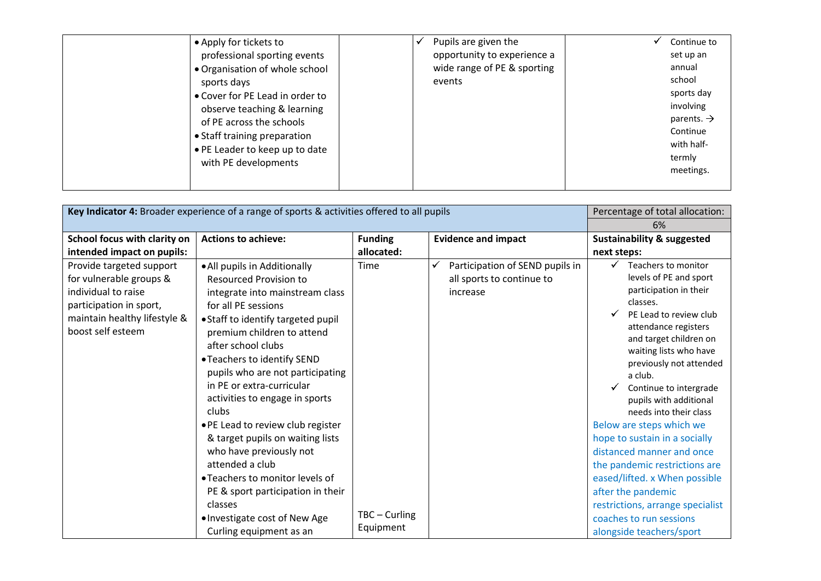| • Apply for tickets to<br>professional sporting events<br>• Organisation of whole school<br>sports days<br>• Cover for PE Lead in order to<br>observe teaching & learning<br>of PE across the schools<br>• Staff training preparation<br>• PE Leader to keep up to date<br>with PE developments | Pupils are given the<br>opportunity to experience a<br>wide range of PE & sporting<br>events | Continue to<br>set up an<br>annual<br>school<br>sports day<br>involving<br>parents. $\rightarrow$<br>Continue<br>with half-<br>termly<br>meetings. |
|-------------------------------------------------------------------------------------------------------------------------------------------------------------------------------------------------------------------------------------------------------------------------------------------------|----------------------------------------------------------------------------------------------|----------------------------------------------------------------------------------------------------------------------------------------------------|
|                                                                                                                                                                                                                                                                                                 |                                                                                              |                                                                                                                                                    |

| Key Indicator 4: Broader experience of a range of sports & activities offered to all pupils                                                                |                                                                                                                                                                                                                                                                                                                                                                                                                                                                                                                                                                                                         |                       |                                                                          | Percentage of total allocation:                                                                                                                                                                                                                                                                                                                                                                                                                                                                                                                                |  |
|------------------------------------------------------------------------------------------------------------------------------------------------------------|---------------------------------------------------------------------------------------------------------------------------------------------------------------------------------------------------------------------------------------------------------------------------------------------------------------------------------------------------------------------------------------------------------------------------------------------------------------------------------------------------------------------------------------------------------------------------------------------------------|-----------------------|--------------------------------------------------------------------------|----------------------------------------------------------------------------------------------------------------------------------------------------------------------------------------------------------------------------------------------------------------------------------------------------------------------------------------------------------------------------------------------------------------------------------------------------------------------------------------------------------------------------------------------------------------|--|
|                                                                                                                                                            |                                                                                                                                                                                                                                                                                                                                                                                                                                                                                                                                                                                                         |                       |                                                                          | 6%                                                                                                                                                                                                                                                                                                                                                                                                                                                                                                                                                             |  |
| School focus with clarity on                                                                                                                               | <b>Actions to achieve:</b>                                                                                                                                                                                                                                                                                                                                                                                                                                                                                                                                                                              | <b>Funding</b>        | <b>Evidence and impact</b>                                               | <b>Sustainability &amp; suggested</b>                                                                                                                                                                                                                                                                                                                                                                                                                                                                                                                          |  |
| intended impact on pupils:                                                                                                                                 |                                                                                                                                                                                                                                                                                                                                                                                                                                                                                                                                                                                                         | allocated:            |                                                                          | next steps:                                                                                                                                                                                                                                                                                                                                                                                                                                                                                                                                                    |  |
| Provide targeted support<br>for vulnerable groups &<br>individual to raise<br>participation in sport,<br>maintain healthy lifestyle &<br>boost self esteem | • All pupils in Additionally<br><b>Resourced Provision to</b><br>integrate into mainstream class<br>for all PE sessions<br>• Staff to identify targeted pupil<br>premium children to attend<br>after school clubs<br>• Teachers to identify SEND<br>pupils who are not participating<br>in PE or extra-curricular<br>activities to engage in sports<br>clubs<br>. PE Lead to review club register<br>& target pupils on waiting lists<br>who have previously not<br>attended a club<br>• Teachers to monitor levels of<br>PE & sport participation in their<br>classes<br>. Investigate cost of New Age | Time<br>TBC - Curling | Participation of SEND pupils in<br>all sports to continue to<br>increase | Teachers to monitor<br>levels of PE and sport<br>participation in their<br>classes.<br>PE Lead to review club<br>attendance registers<br>and target children on<br>waiting lists who have<br>previously not attended<br>a club.<br>Continue to intergrade<br>pupils with additional<br>needs into their class<br>Below are steps which we<br>hope to sustain in a socially<br>distanced manner and once<br>the pandemic restrictions are<br>eased/lifted. x When possible<br>after the pandemic<br>restrictions, arrange specialist<br>coaches to run sessions |  |
|                                                                                                                                                            | Curling equipment as an                                                                                                                                                                                                                                                                                                                                                                                                                                                                                                                                                                                 | Equipment             |                                                                          | alongside teachers/sport                                                                                                                                                                                                                                                                                                                                                                                                                                                                                                                                       |  |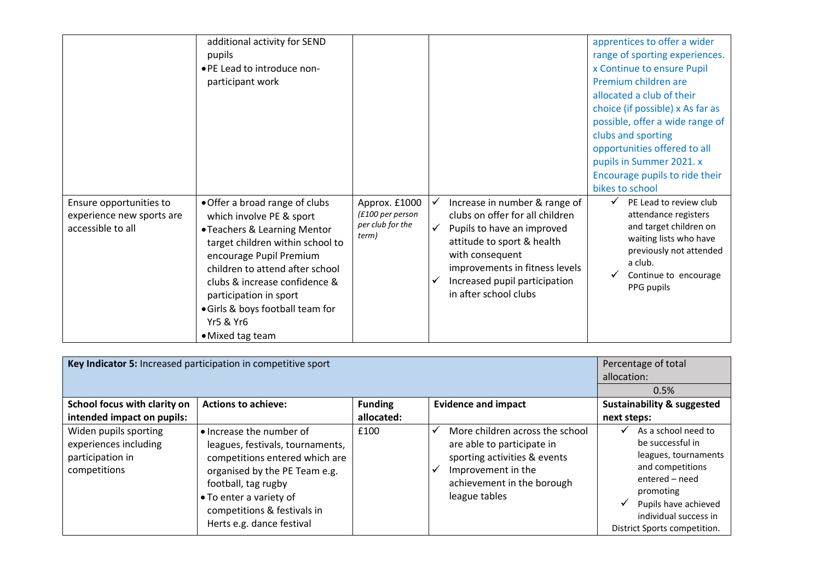|                                                                           | additional activity for SEND<br>pupils<br>• PE Lead to introduce non-<br>participant work                                                                                                                                                                                                                                               |                                                                |   |                                                                                                                                                                                                                                             | apprentices to offer a wider<br>range of sporting experiences.<br>x Continue to ensure Pupil<br>Premium children are<br>allocated a club of their<br>choice (if possible) x As far as<br>possible, offer a wide range of |
|---------------------------------------------------------------------------|-----------------------------------------------------------------------------------------------------------------------------------------------------------------------------------------------------------------------------------------------------------------------------------------------------------------------------------------|----------------------------------------------------------------|---|---------------------------------------------------------------------------------------------------------------------------------------------------------------------------------------------------------------------------------------------|--------------------------------------------------------------------------------------------------------------------------------------------------------------------------------------------------------------------------|
|                                                                           |                                                                                                                                                                                                                                                                                                                                         |                                                                |   |                                                                                                                                                                                                                                             | clubs and sporting<br>opportunities offered to all<br>pupils in Summer 2021. x<br>Encourage pupils to ride their<br>bikes to school                                                                                      |
| Ensure opportunities to<br>experience new sports are<br>accessible to all | • Offer a broad range of clubs<br>which involve PE & sport<br>• Teachers & Learning Mentor<br>target children within school to<br>encourage Pupil Premium<br>children to attend after school<br>clubs & increase confidence &<br>participation in sport<br>• Girls & boys football team for<br><b>Yr5 &amp; Yr6</b><br>• Mixed tag team | Approx. £1000<br>(£100 per person<br>per club for the<br>term) | ✔ | Increase in number & range of<br>clubs on offer for all children<br>Pupils to have an improved<br>attitude to sport & health<br>with consequent<br>improvements in fitness levels<br>Increased pupil participation<br>in after school clubs | PE Lead to review club<br>attendance registers<br>and target children on<br>waiting lists who have<br>previously not attended<br>a club.<br>Continue to encourage<br>PPG pupils                                          |

| Key Indicator 5: Increased participation in competitive sport                      | Percentage of total<br>allocation:                                                                                                                                                                                                            |                |                                                                                                                                                                         |                                                                                                                                                                                                               |
|------------------------------------------------------------------------------------|-----------------------------------------------------------------------------------------------------------------------------------------------------------------------------------------------------------------------------------------------|----------------|-------------------------------------------------------------------------------------------------------------------------------------------------------------------------|---------------------------------------------------------------------------------------------------------------------------------------------------------------------------------------------------------------|
|                                                                                    |                                                                                                                                                                                                                                               |                | 0.5%                                                                                                                                                                    |                                                                                                                                                                                                               |
| School focus with clarity on                                                       | <b>Actions to achieve:</b>                                                                                                                                                                                                                    | <b>Funding</b> | <b>Evidence and impact</b>                                                                                                                                              | <b>Sustainability &amp; suggested</b>                                                                                                                                                                         |
| intended impact on pupils:                                                         |                                                                                                                                                                                                                                               | allocated:     |                                                                                                                                                                         | next steps:                                                                                                                                                                                                   |
| Widen pupils sporting<br>experiences including<br>participation in<br>competitions | • Increase the number of<br>leagues, festivals, tournaments,<br>competitions entered which are<br>organised by the PE Team e.g.<br>football, tag rugby<br>• To enter a variety of<br>competitions & festivals in<br>Herts e.g. dance festival | £100           | More children across the school<br>M<br>are able to participate in<br>sporting activities & events<br>Improvement in the<br>achievement in the borough<br>league tables | As a school need to<br>✔<br>be successful in<br>leagues, tournaments<br>and competitions<br>entered - need<br>promoting<br>Pupils have achieved<br>✔<br>individual success in<br>District Sports competition. |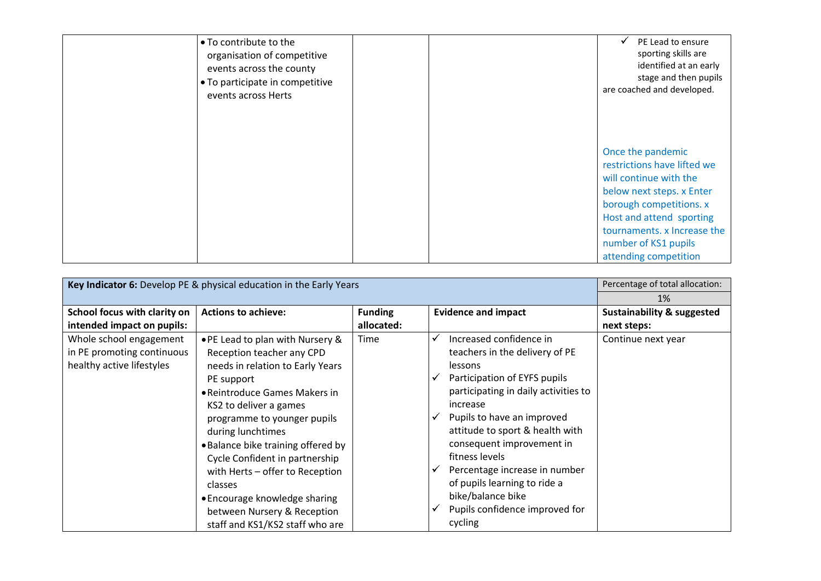| • To contribute to the<br>organisation of competitive<br>events across the county<br>• To participate in competitive<br>events across Herts | PE Lead to ensure<br>sporting skills are<br>identified at an early<br>stage and then pupils<br>are coached and developed.                                                                                                                      |
|---------------------------------------------------------------------------------------------------------------------------------------------|------------------------------------------------------------------------------------------------------------------------------------------------------------------------------------------------------------------------------------------------|
|                                                                                                                                             | Once the pandemic<br>restrictions have lifted we<br>will continue with the<br>below next steps. x Enter<br>borough competitions. x<br>Host and attend sporting<br>tournaments. x Increase the<br>number of KS1 pupils<br>attending competition |

| Key Indicator 6: Develop PE & physical education in the Early Years | Percentage of total allocation:    |                |                                      |                                       |
|---------------------------------------------------------------------|------------------------------------|----------------|--------------------------------------|---------------------------------------|
|                                                                     | 1%                                 |                |                                      |                                       |
| School focus with clarity on                                        | <b>Actions to achieve:</b>         | <b>Funding</b> | <b>Evidence and impact</b>           | <b>Sustainability &amp; suggested</b> |
| intended impact on pupils:                                          |                                    | allocated:     |                                      | next steps:                           |
| Whole school engagement                                             | • PE Lead to plan with Nursery &   | Time           | Increased confidence in<br>✓         | Continue next year                    |
| in PE promoting continuous                                          | Reception teacher any CPD          |                | teachers in the delivery of PE       |                                       |
| healthy active lifestyles                                           | needs in relation to Early Years   |                | lessons                              |                                       |
|                                                                     | PE support                         |                | Participation of EYFS pupils<br>√    |                                       |
|                                                                     | • Reintroduce Games Makers in      |                | participating in daily activities to |                                       |
|                                                                     | KS2 to deliver a games             |                | increase                             |                                       |
|                                                                     | programme to younger pupils        |                | Pupils to have an improved<br>√      |                                       |
|                                                                     | during lunchtimes                  |                | attitude to sport & health with      |                                       |
|                                                                     | . Balance bike training offered by |                | consequent improvement in            |                                       |
|                                                                     | Cycle Confident in partnership     |                | fitness levels                       |                                       |
|                                                                     | with Herts - offer to Reception    |                | Percentage increase in number<br>✔   |                                       |
|                                                                     | <b>classes</b>                     |                | of pupils learning to ride a         |                                       |
|                                                                     | • Encourage knowledge sharing      |                | bike/balance bike                    |                                       |
|                                                                     | between Nursery & Reception        |                | Pupils confidence improved for<br>✓  |                                       |
|                                                                     | staff and KS1/KS2 staff who are    |                | cycling                              |                                       |